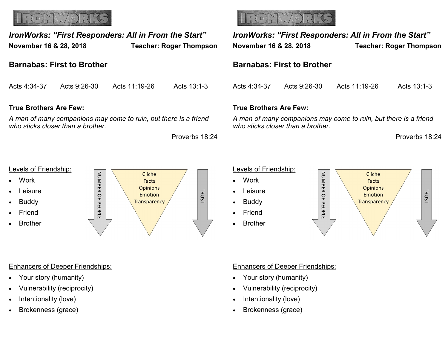

| IronWorks: "First Responders: All in From the Start"<br>November 16 & 28, 2018                        |              | <b>Teacher: Roger Thompson</b> |                | <b>IronWorks: "First Respond</b><br>November 16 & 28, 2018        |              |
|-------------------------------------------------------------------------------------------------------|--------------|--------------------------------|----------------|-------------------------------------------------------------------|--------------|
| <b>Barnabas: First to Brother</b>                                                                     |              |                                |                | <b>Barnabas: First to Brother</b>                                 |              |
| Acts 4:34-37                                                                                          | Acts 9:26-30 | Acts 11:19-26                  | Acts 13:1-3    | Acts 4:34-37                                                      | Acts 9:26-30 |
| <b>True Brothers Are Few:</b>                                                                         |              |                                |                | <b>True Brothers Are Few:</b>                                     |              |
| A man of many companions may come to ruin, but there is a friend<br>who sticks closer than a brother. |              |                                |                | A man of many companions may<br>who sticks closer than a brother. |              |
|                                                                                                       |              |                                | Proverbs 18:24 |                                                                   |              |
|                                                                                                       |              |                                |                |                                                                   |              |

#### **True Brothers Are Few:**

#### Levels of Friendship:

- **Work**
- Leisure
- Buddy
- Friend
- Brother



#### Enhancers of Deeper Friendships:

- Your story (humanity)
- Vulnerability (reciprocity)
- Intentionality (love)
- Brokenness (grace)



*IronWorks: "First Responders: All in From the Start"* **November 16 & 28, 2018 Teacher: Roger Thompson Barnabas: First to Brother** Acts 4:34-37 Acts 9:26-30 Acts 11:19-26 Acts 13:1-3 **True Brothers Are Few:** *Man of many companions may come to ruin, but there is a friend* 

Proverbs 18:24

# Levels of Friendship:

- Work
- Leisure
- Buddy
- Friend
- Brother



#### Enhancers of Deeper Friendships:

- Your story (humanity)
- Vulnerability (reciprocity)
- Intentionality (love)
- Brokenness (grace)